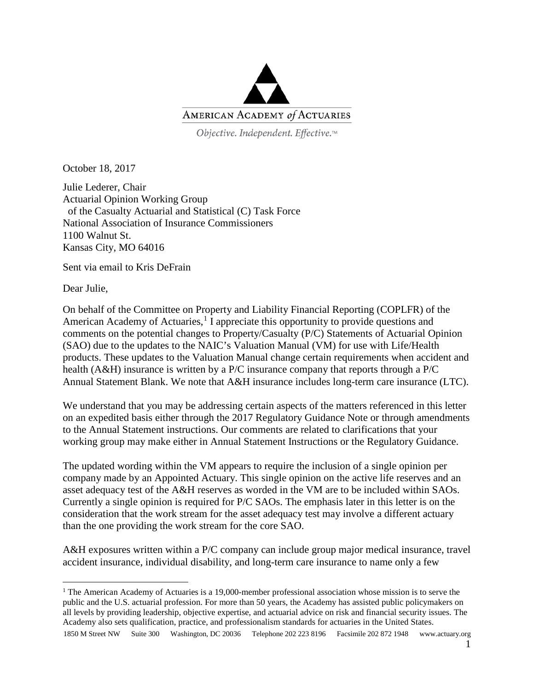

Objective. Independent. Effective.™

October 18, 2017

Julie Lederer, Chair Actuarial Opinion Working Group of the Casualty Actuarial and Statistical (C) Task Force National Association of Insurance Commissioners 1100 Walnut St. Kansas City, MO 64016

Sent via email to Kris DeFrain

Dear Julie,

On behalf of the Committee on Property and Liability Financial Reporting (COPLFR) of the American Academy of Actuaries, $1$  I appreciate this opportunity to provide questions and comments on the potential changes to Property/Casualty (P/C) Statements of Actuarial Opinion (SAO) due to the updates to the NAIC's Valuation Manual (VM) for use with Life/Health products. These updates to the Valuation Manual change certain requirements when accident and health (A&H) insurance is written by a P/C insurance company that reports through a P/C Annual Statement Blank. We note that A&H insurance includes long-term care insurance (LTC).

We understand that you may be addressing certain aspects of the matters referenced in this letter on an expedited basis either through the 2017 Regulatory Guidance Note or through amendments to the Annual Statement instructions. Our comments are related to clarifications that your working group may make either in Annual Statement Instructions or the Regulatory Guidance.

The updated wording within the VM appears to require the inclusion of a single opinion per company made by an Appointed Actuary. This single opinion on the active life reserves and an asset adequacy test of the A&H reserves as worded in the VM are to be included within SAOs. Currently a single opinion is required for P/C SAOs. The emphasis later in this letter is on the consideration that the work stream for the asset adequacy test may involve a different actuary than the one providing the work stream for the core SAO.

A&H exposures written within a P/C company can include group major medical insurance, travel accident insurance, individual disability, and long-term care insurance to name only a few

<span id="page-0-0"></span><sup>1850</sup> M Street NW Suite 300 Washington, DC 20036 Telephone 202 223 8196 Facsimile 202 872 1948 www.actuary.org <sup>1</sup> The American Academy of Actuaries is a 19,000-member professional association whose mission is to serve the public and the U.S. actuarial profession. For more than 50 years, the Academy has assisted public policymakers on all levels by providing leadership, objective expertise, and actuarial advice on risk and financial security issues. The Academy also sets qualification, practice, and professionalism standards for actuaries in the United States.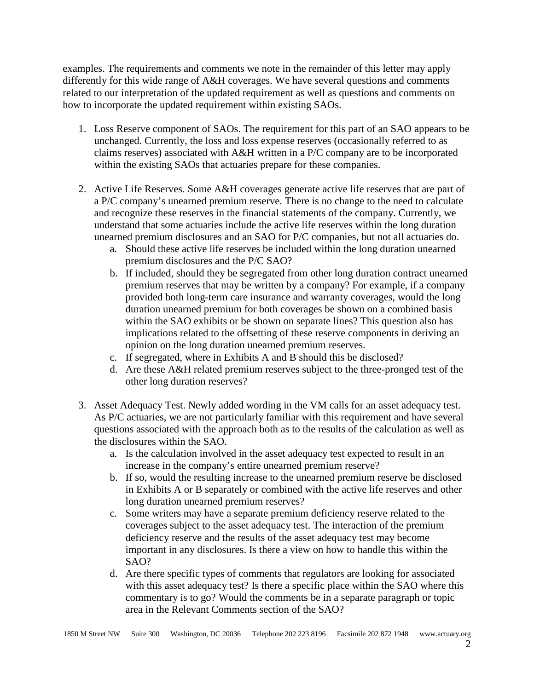examples. The requirements and comments we note in the remainder of this letter may apply differently for this wide range of A&H coverages. We have several questions and comments related to our interpretation of the updated requirement as well as questions and comments on how to incorporate the updated requirement within existing SAOs.

- 1. Loss Reserve component of SAOs. The requirement for this part of an SAO appears to be unchanged. Currently, the loss and loss expense reserves (occasionally referred to as claims reserves) associated with A&H written in a P/C company are to be incorporated within the existing SAOs that actuaries prepare for these companies.
- 2. Active Life Reserves. Some A&H coverages generate active life reserves that are part of a P/C company's unearned premium reserve. There is no change to the need to calculate and recognize these reserves in the financial statements of the company. Currently, we understand that some actuaries include the active life reserves within the long duration unearned premium disclosures and an SAO for P/C companies, but not all actuaries do.
	- a. Should these active life reserves be included within the long duration unearned premium disclosures and the P/C SAO?
	- b. If included, should they be segregated from other long duration contract unearned premium reserves that may be written by a company? For example, if a company provided both long-term care insurance and warranty coverages, would the long duration unearned premium for both coverages be shown on a combined basis within the SAO exhibits or be shown on separate lines? This question also has implications related to the offsetting of these reserve components in deriving an opinion on the long duration unearned premium reserves.
	- c. If segregated, where in Exhibits A and B should this be disclosed?
	- d. Are these A&H related premium reserves subject to the three-pronged test of the other long duration reserves?
- 3. Asset Adequacy Test. Newly added wording in the VM calls for an asset adequacy test. As P/C actuaries, we are not particularly familiar with this requirement and have several questions associated with the approach both as to the results of the calculation as well as the disclosures within the SAO.
	- a. Is the calculation involved in the asset adequacy test expected to result in an increase in the company's entire unearned premium reserve?
	- b. If so, would the resulting increase to the unearned premium reserve be disclosed in Exhibits A or B separately or combined with the active life reserves and other long duration unearned premium reserves?
	- c. Some writers may have a separate premium deficiency reserve related to the coverages subject to the asset adequacy test. The interaction of the premium deficiency reserve and the results of the asset adequacy test may become important in any disclosures. Is there a view on how to handle this within the SAO?
	- d. Are there specific types of comments that regulators are looking for associated with this asset adequacy test? Is there a specific place within the SAO where this commentary is to go? Would the comments be in a separate paragraph or topic area in the Relevant Comments section of the SAO?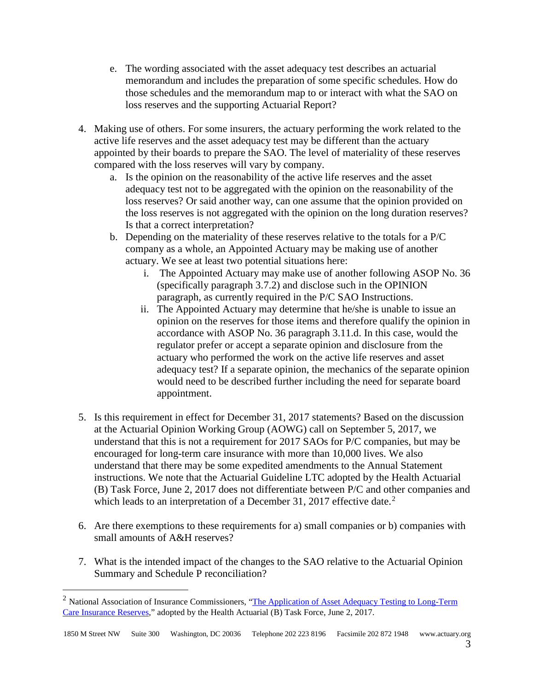- e. The wording associated with the asset adequacy test describes an actuarial memorandum and includes the preparation of some specific schedules. How do those schedules and the memorandum map to or interact with what the SAO on loss reserves and the supporting Actuarial Report?
- 4. Making use of others. For some insurers, the actuary performing the work related to the active life reserves and the asset adequacy test may be different than the actuary appointed by their boards to prepare the SAO. The level of materiality of these reserves compared with the loss reserves will vary by company.
	- a. Is the opinion on the reasonability of the active life reserves and the asset adequacy test not to be aggregated with the opinion on the reasonability of the loss reserves? Or said another way, can one assume that the opinion provided on the loss reserves is not aggregated with the opinion on the long duration reserves? Is that a correct interpretation?
	- b. Depending on the materiality of these reserves relative to the totals for a P/C company as a whole, an Appointed Actuary may be making use of another actuary. We see at least two potential situations here:
		- i. The Appointed Actuary may make use of another following ASOP No. 36 (specifically paragraph 3.7.2) and disclose such in the OPINION paragraph, as currently required in the P/C SAO Instructions.
		- ii. The Appointed Actuary may determine that he/she is unable to issue an opinion on the reserves for those items and therefore qualify the opinion in accordance with ASOP No. 36 paragraph 3.11.d. In this case, would the regulator prefer or accept a separate opinion and disclosure from the actuary who performed the work on the active life reserves and asset adequacy test? If a separate opinion, the mechanics of the separate opinion would need to be described further including the need for separate board appointment.
- 5. Is this requirement in effect for December 31, 2017 statements? Based on the discussion at the Actuarial Opinion Working Group (AOWG) call on September 5, 2017, we understand that this is not a requirement for 2017 SAOs for P/C companies, but may be encouraged for long-term care insurance with more than 10,000 lives. We also understand that there may be some expedited amendments to the Annual Statement instructions. We note that the Actuarial Guideline LTC adopted by the Health Actuarial (B) Task Force, June 2, 2017 does not differentiate between P/C and other companies and which leads to an interpretation of a December 31, [2](#page-2-0)017 effective date. $2$
- 6. Are there exemptions to these requirements for a) small companies or b) companies with small amounts of A&H reserves?
- 7. What is the intended impact of the changes to the SAO relative to the Actuarial Opinion Summary and Schedule P reconciliation?

<span id="page-2-0"></span><sup>&</sup>lt;sup>2</sup> National Association of Insurance Commissioners, "The Application of Asset Adequacy Testing to Long-Term [Care Insurance Reserves,](http://www.naic.org/documents/cmte_b_170615_draft_ltc_aaa_guideline.pdf)" adopted by the Health Actuarial (B) Task Force, June 2, 2017.